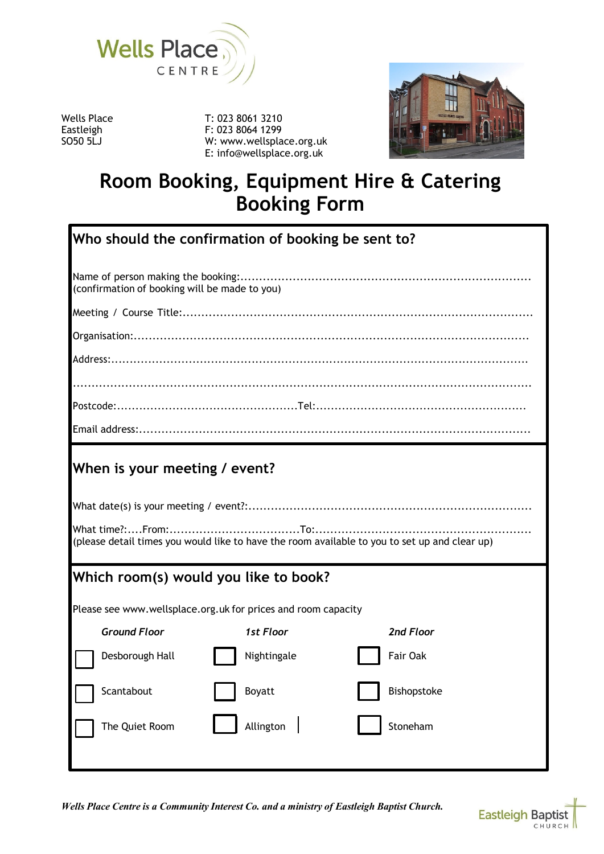

T: 023 8061 3210 F: 023 8064 1299 W: www.wellsplace.org.uk E: info@wellsplace.org.uk



# **Room Booking, Equipment Hire & Catering Booking Form**

| Who should the confirmation of booking be sent to?                                            |             |             |  |
|-----------------------------------------------------------------------------------------------|-------------|-------------|--|
| (confirmation of booking will be made to you)                                                 |             |             |  |
|                                                                                               |             |             |  |
|                                                                                               |             |             |  |
|                                                                                               |             |             |  |
|                                                                                               |             |             |  |
|                                                                                               |             |             |  |
|                                                                                               |             |             |  |
| (please detail times you would like to have the room available to you to set up and clear up) |             |             |  |
| Which room(s) would you like to book?                                                         |             |             |  |
| Please see www.wellsplace.org.uk for prices and room capacity                                 |             |             |  |
| <b>Ground Floor</b>                                                                           | 1st Floor   | 2nd Floor   |  |
| Desborough Hall                                                                               | Nightingale | Fair Oak    |  |
| Scantabout                                                                                    | Boyatt      | Bishopstoke |  |
| The Quiet Room                                                                                | Allington   | Stoneham    |  |
|                                                                                               |             |             |  |

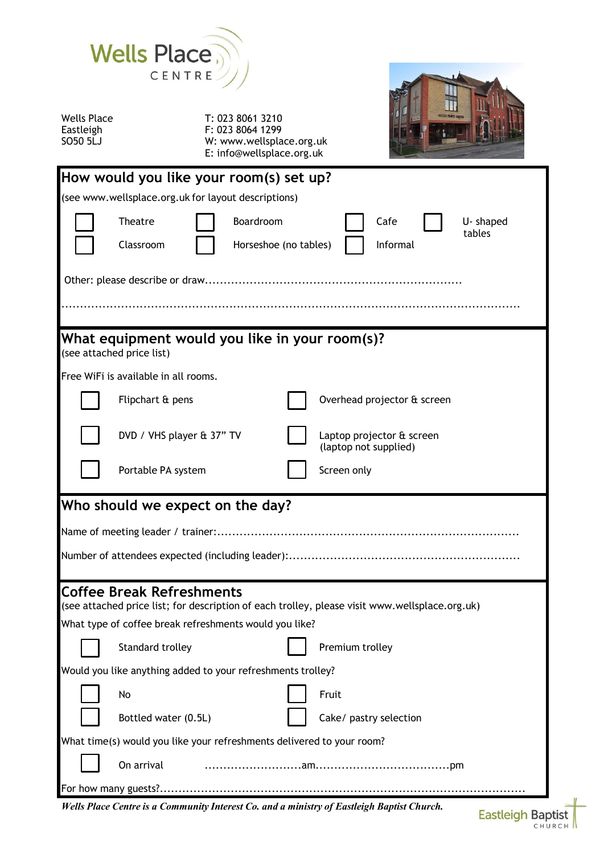

T: 023 8061 3210 F: 023 8064 1299 W: www.wellsplace.org.uk E: info@wellsplace.org.uk



|                                                                                                                             | How would you like your room(s) set up?                                                    |  |                                                    |
|-----------------------------------------------------------------------------------------------------------------------------|--------------------------------------------------------------------------------------------|--|----------------------------------------------------|
| (see www.wellsplace.org.uk for layout descriptions)                                                                         |                                                                                            |  |                                                    |
|                                                                                                                             | Boardroom<br>Theatre<br>Classroom<br>Horseshoe (no tables)                                 |  | Cafe<br>U-shaped<br>tables<br>Informal             |
|                                                                                                                             |                                                                                            |  |                                                    |
|                                                                                                                             |                                                                                            |  |                                                    |
| What equipment would you like in your room(s)?<br>(see attached price list)                                                 |                                                                                            |  |                                                    |
|                                                                                                                             | Free WiFi is available in all rooms.                                                       |  |                                                    |
|                                                                                                                             | Flipchart & pens                                                                           |  | Overhead projector & screen                        |
|                                                                                                                             | DVD / VHS player & 37" TV                                                                  |  | Laptop projector & screen<br>(laptop not supplied) |
|                                                                                                                             | Portable PA system                                                                         |  | Screen only                                        |
|                                                                                                                             | Who should we expect on the day?                                                           |  |                                                    |
|                                                                                                                             |                                                                                            |  |                                                    |
|                                                                                                                             |                                                                                            |  |                                                    |
| Coffee Break Refreshments<br>(see attached price list; for description of each trolley, please visit www.wellsplace.org.uk) |                                                                                            |  |                                                    |
|                                                                                                                             | What type of coffee break refreshments would you like?                                     |  |                                                    |
|                                                                                                                             | <b>Standard trolley</b>                                                                    |  | Premium trolley                                    |
| Would you like anything added to your refreshments trolley?                                                                 |                                                                                            |  |                                                    |
|                                                                                                                             | No                                                                                         |  | Fruit                                              |
|                                                                                                                             | Bottled water (0.5L)                                                                       |  | Cake/ pastry selection                             |
| What time(s) would you like your refreshments delivered to your room?                                                       |                                                                                            |  |                                                    |
| On arrival                                                                                                                  |                                                                                            |  |                                                    |
|                                                                                                                             |                                                                                            |  |                                                    |
|                                                                                                                             | Wells Place Centre is a Community Interest Co. and a ministry of Eastleigh Baptist Church. |  |                                                    |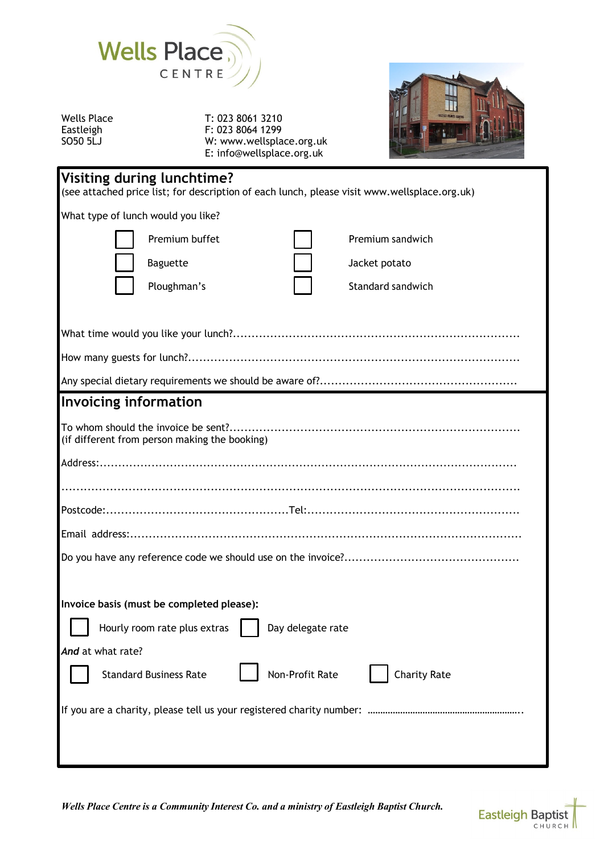

T: 023 8061 3210 F: 023 8064 1299 W: www.wellsplace.org.uk E: info@wellsplace.org.uk



| Visiting during lunchtime?<br>(see attached price list; for description of each lunch, please visit www.wellsplace.org.uk) |                     |  |
|----------------------------------------------------------------------------------------------------------------------------|---------------------|--|
| What type of lunch would you like?                                                                                         |                     |  |
| Premium buffet                                                                                                             | Premium sandwich    |  |
| Baguette<br>Jacket potato                                                                                                  |                     |  |
| Ploughman's                                                                                                                | Standard sandwich   |  |
|                                                                                                                            |                     |  |
|                                                                                                                            |                     |  |
|                                                                                                                            |                     |  |
|                                                                                                                            |                     |  |
| <b>Invoicing information</b>                                                                                               |                     |  |
| (if different from person making the booking)                                                                              |                     |  |
|                                                                                                                            |                     |  |
|                                                                                                                            |                     |  |
|                                                                                                                            |                     |  |
|                                                                                                                            |                     |  |
|                                                                                                                            |                     |  |
|                                                                                                                            |                     |  |
| Invoice basis (must be completed please):                                                                                  |                     |  |
| Hourly room rate plus extras<br>Day delegate rate                                                                          |                     |  |
| And at what rate?                                                                                                          |                     |  |
| <b>Non-Profit Rate</b><br><b>Standard Business Rate</b>                                                                    | <b>Charity Rate</b> |  |
|                                                                                                                            |                     |  |
|                                                                                                                            |                     |  |

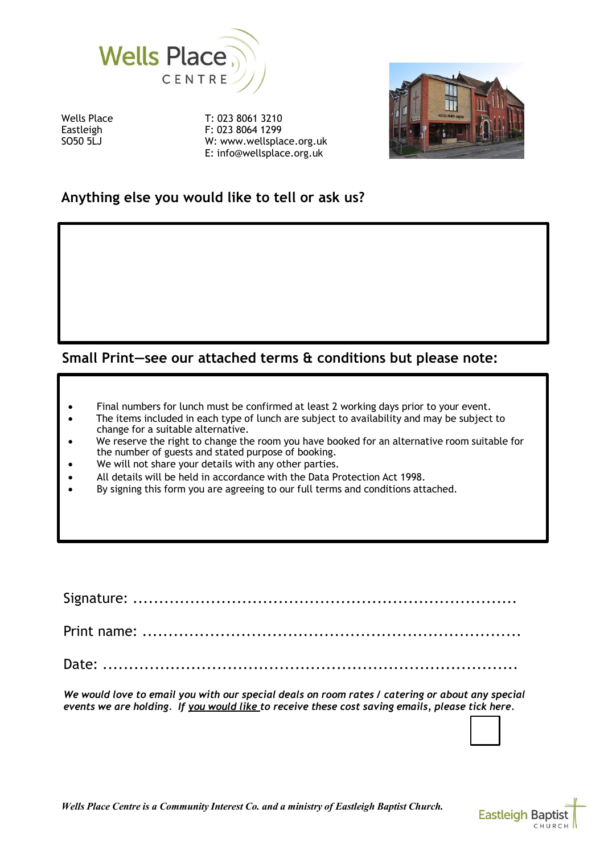

T: 023 8061 3210 F: 023 8064 1299 W: www.wellsplace.org.uk E: info@wellsplace.org.uk



# **Anything else you would like to tell or ask us?**

## **Small Print—see our attached terms & conditions but please note:**

- Final numbers for lunch must be confirmed at least 2 working days prior to your event.
- The items included in each type of lunch are subject to availability and may be subject to change for a suitable alternative.
- We reserve the right to change the room you have booked for an alternative room suitable for the number of guests and stated purpose of booking.
- We will not share your details with any other parties.
- All details will be held in accordance with the Data Protection Act 1998.
- By signing this form you are agreeing to our full terms and conditions attached.

Signature: ..........................................................................

Print name: .........................................................................

Date: ................................................................................

We would love to email you with our special deals on room rates / catering or about any special *events we are holding. If you would like to receive these cost saving emails, please tick here.*

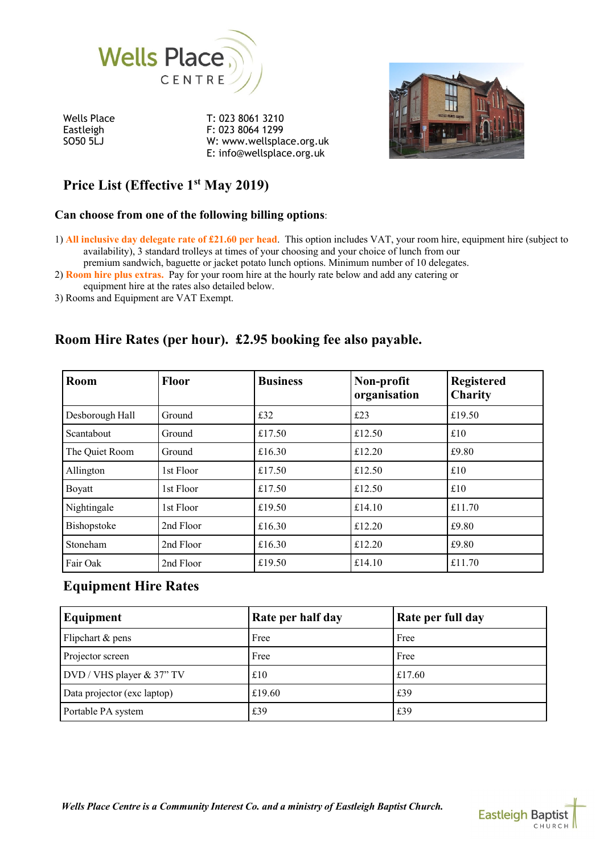

T: 023 8061 3210 F: 023 8064 1299 W: www.wellsplace.org.uk E: info@wellsplace.org.uk



# **Price List (Effective 1st May 2019)**

## **Can choose from one of the following billing options**:

1) **All inclusive day delegate rate of £21.60 per head**. This option includes VAT, your room hire, equipment hire (subject to availability), 3 standard trolleys at times of your choosing and your choice of lunch from our premium sandwich, baguette or jacket potato lunch options. Minimum number of 10 delegates.

2) **Room hire plus extras.** Pay for your room hire at the hourly rate below and add any catering or

equipment hire at the rates also detailed below.

3) Rooms and Equipment are VAT Exempt.

# **Room Hire Rates (per hour). £2.95 booking fee also payable.**

| <b>Room</b>     | <b>Floor</b> | <b>Business</b> | Non-profit<br>organisation | <b>Registered</b><br>Charity |
|-----------------|--------------|-----------------|----------------------------|------------------------------|
| Desborough Hall | Ground       | £32             | £23                        | £19.50                       |
| Scantabout      | Ground       | £17.50          | £12.50                     | £10                          |
| The Quiet Room  | Ground       | £16.30          | £12.20                     | £9.80                        |
| Allington       | 1st Floor    | £17.50          | £12.50                     | £10                          |
| Boyatt          | 1st Floor    | £17.50          | £12.50                     | £10                          |
| Nightingale     | 1st Floor    | £19.50          | £14.10                     | £11.70                       |
| Bishopstoke     | 2nd Floor    | £16.30          | £12.20                     | £9.80                        |
| Stoneham        | 2nd Floor    | £16.30          | £12.20                     | £9.80                        |
| Fair Oak        | 2nd Floor    | £19.50          | £14.10                     | £11.70                       |

## **Equipment Hire Rates**

| Equipment                   | Rate per half day | Rate per full day |
|-----------------------------|-------------------|-------------------|
| Flipchart & pens            | Free              | Free              |
| Projector screen            | Free              | Free              |
| DVD / VHS player & 37" TV   | £10               | £17.60            |
| Data projector (exc laptop) | £19.60            | £39               |
| Portable PA system          | £39               | £39               |

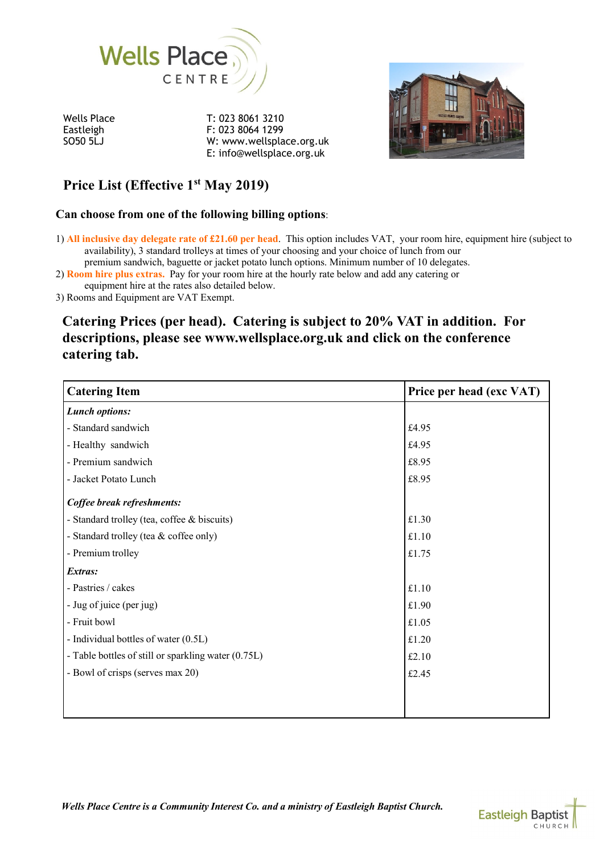

T: 023 8061 3210 F: 023 8064 1299 W: www.wellsplace.org.uk E: info@wellsplace.org.uk



# **Price List (Effective 1st May 2019)**

## **Can choose from one of the following billing options**:

1) **All inclusive day delegate rate of £21.60 per head**. This option includes VAT, your room hire, equipment hire (subject to availability), 3 standard trolleys at times of your choosing and your choice of lunch from our premium sandwich, baguette or jacket potato lunch options. Minimum number of 10 delegates.

2) **Room hire plus extras.** Pay for your room hire at the hourly rate below and add any catering or

equipment hire at the rates also detailed below.

3) Rooms and Equipment are VAT Exempt.

## **Catering Prices (per head). Catering is subject to 20% VAT in addition. For descriptions, please see www.wellsplace.org.uk and click on the conference catering tab.**

| <b>Catering Item</b>                                | Price per head (exc VAT) |
|-----------------------------------------------------|--------------------------|
| <b>Lunch options:</b>                               |                          |
| - Standard sandwich                                 | £4.95                    |
| - Healthy sandwich                                  | £4.95                    |
| - Premium sandwich                                  | £8.95                    |
| - Jacket Potato Lunch                               | £8.95                    |
| Coffee break refreshments:                          |                          |
| - Standard trolley (tea, coffee & biscuits)         | £1.30                    |
| - Standard trolley (tea & coffee only)              | £1.10                    |
| - Premium trolley                                   | £1.75                    |
| Extras:                                             |                          |
| - Pastries / cakes                                  | £1.10                    |
| - Jug of juice (per jug)                            | £1.90                    |
| - Fruit bowl                                        | £1.05                    |
| - Individual bottles of water (0.5L)                | £1.20                    |
| - Table bottles of still or sparkling water (0.75L) | £2.10                    |
| - Bowl of crisps (serves max 20)                    | £2.45                    |
|                                                     |                          |
|                                                     |                          |

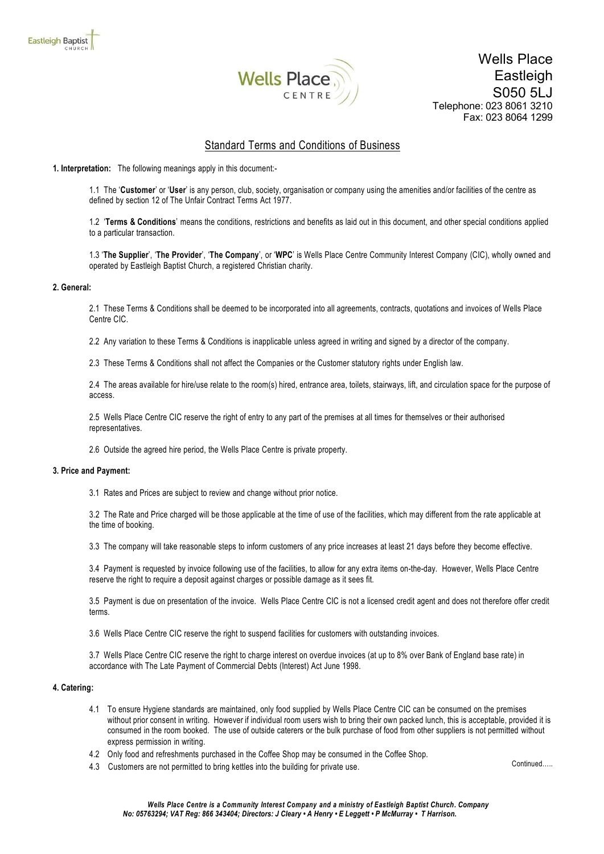

Wells Place Eastleigh S050 5LJ Telephone: 023 8061 3210 Fax: 023 8064 1299

### Standard Terms and Conditions of Business

**1. Interpretation:** The following meanings apply in this document:-

1.1 The '**Customer**' or '**User**' is any person, club, society, organisation or company using the amenities and/or facilities of the centre as defined by section 12 of The Unfair Contract Terms Act 1977.

1.2 '**Terms & Conditions**' means the conditions, restrictions and benefits as laid out in this document, and other special conditions applied to a particular transaction.

1.3 '**The Supplier**', '**The Provider**', '**The Company**', or '**WPC**' is Wells Place Centre Community Interest Company (CIC), wholly owned and operated by Eastleigh Baptist Church, a registered Christian charity.

#### **2. General:**

2.1 These Terms & Conditions shall be deemed to be incorporated into all agreements, contracts, quotations and invoices of Wells Place Centre CIC.

2.2 Any variation to these Terms & Conditions is inapplicable unless agreed in writing and signed by a director of the company.

2.3 These Terms & Conditions shall not affect the Companies or the Customer statutory rights under English law.

2.4 The areas available for hire/use relate to the room(s) hired, entrance area, toilets, stairways, lift, and circulation space for the purpose of access.

2.5 Wells Place Centre CIC reserve the right of entry to any part of the premises at all times for themselves or their authorised representatives.

2.6 Outside the agreed hire period, the Wells Place Centre is private property.

#### **3. Price and Payment:**

3.1 Rates and Prices are subject to review and change without prior notice.

3.2 The Rate and Price charged will be those applicable at the time of use of the facilities, which may different from the rate applicable at the time of booking.

3.3 The company will take reasonable steps to inform customers of any price increases at least 21 days before they become effective.

3.4 Payment is requested by invoice following use of the facilities, to allow for any extra items on-the-day. However, Wells Place Centre reserve the right to require a deposit against charges or possible damage as it sees fit.

3.5 Payment is due on presentation of the invoice. Wells Place Centre CIC is not a licensed credit agent and does not therefore offer credit terms.

3.6 Wells Place Centre CIC reserve the right to suspend facilities for customers with outstanding invoices.

3.7 Wells Place Centre CIC reserve the right to charge interest on overdue invoices (at up to 8% over Bank of England base rate) in accordance with The Late Payment of Commercial Debts (Interest) Act June 1998.

#### **4. Catering:**

- 4.1 To ensure Hygiene standards are maintained, only food supplied by Wells Place Centre CIC can be consumed on the premises without prior consent in writing. However if individual room users wish to bring their own packed lunch, this is acceptable, provided it is consumed in the room booked. The use of outside caterers or the bulk purchase of food from other suppliers is not permitted without express permission in writing.
- 4.2 Only food and refreshments purchased in the Coffee Shop may be consumed in the Coffee Shop.
- 4.3 Customers are not permitted to bring kettles into the building for private use.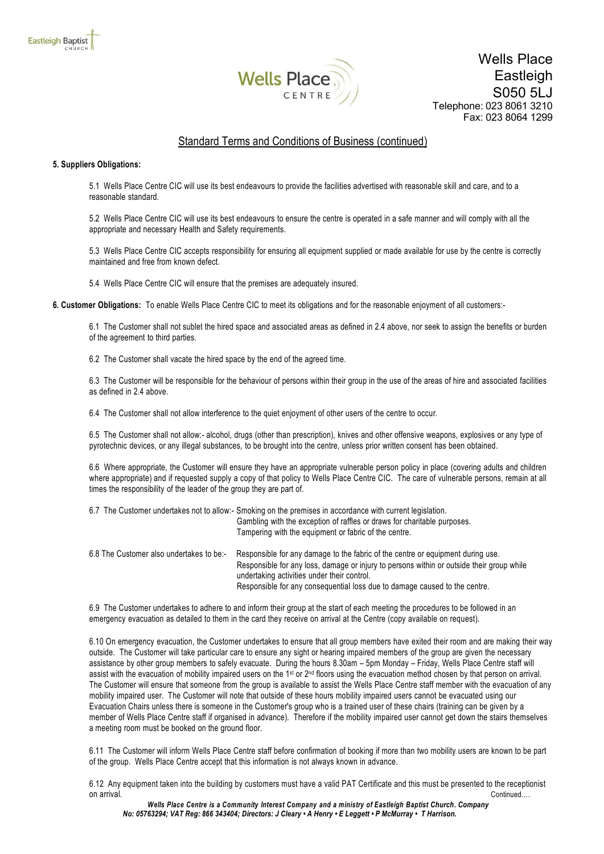

## Standard Terms and Conditions of Business (continued)

#### **5. Suppliers Obligations:**

5.1 Wells Place Centre CIC will use its best endeavours to provide the facilities advertised with reasonable skill and care, and to a reasonable standard.

5.2 Wells Place Centre CIC will use its best endeavours to ensure the centre is operated in a safe manner and will comply with all the appropriate and necessary Health and Safety requirements.

5.3 Wells Place Centre CIC accepts responsibility for ensuring all equipment supplied or made available for use by the centre is correctly maintained and free from known defect.

5.4 Wells Place Centre CIC will ensure that the premises are adequately insured.

**6. Customer Obligations:** To enable Wells Place Centre CIC to meet its obligations and for the reasonable enjoyment of all customers:-

6.1 The Customer shall not sublet the hired space and associated areas as defined in 2.4 above, nor seek to assign the benefits or burden of the agreement to third parties.

6.2 The Customer shall vacate the hired space by the end of the agreed time.

6.3 The Customer will be responsible for the behaviour of persons within their group in the use of the areas of hire and associated facilities as defined in 2.4 above.

6.4 The Customer shall not allow interference to the quiet enjoyment of other users of the centre to occur.

6.5 The Customer shall not allow:- alcohol, drugs (other than prescription), knives and other offensive weapons, explosives or any type of pyrotechnic devices, or any illegal substances, to be brought into the centre, unless prior written consent has been obtained.

6.6 Where appropriate, the Customer will ensure they have an appropriate vulnerable person policy in place (covering adults and children where appropriate) and if requested supply a copy of that policy to Wells Place Centre CIC. The care of vulnerable persons, remain at all times the responsibility of the leader of the group they are part of.

|                                          | 6.7 The Customer undertakes not to allow:- Smoking on the premises in accordance with current legislation.<br>Gambling with the exception of raffles or draws for charitable purposes.<br>Tampering with the equipment or fabric of the centre. |
|------------------------------------------|-------------------------------------------------------------------------------------------------------------------------------------------------------------------------------------------------------------------------------------------------|
| 6.8 The Customer also undertakes to be:- | Responsible for any damage to the fabric of the centre or equipment during use.<br>Responsible for any loss, damage or injury to persons within or outside their group while<br>undertaking activities under their control.                     |
|                                          | Responsible for any consequential loss due to damage caused to the centre.                                                                                                                                                                      |

6.9 The Customer undertakes to adhere to and inform their group at the start of each meeting the procedures to be followed in an emergency evacuation as detailed to them in the card they receive on arrival at the Centre (copy available on request).

6.10 On emergency evacuation, the Customer undertakes to ensure that all group members have exited their room and are making their way outside. The Customer will take particular care to ensure any sight or hearing impaired members of the group are given the necessary assistance by other group members to safely evacuate. During the hours 8.30am – 5pm Monday – Friday, Wells Place Centre staff will assist with the evacuation of mobility impaired users on the 1<sup>st</sup> or 2<sup>nd</sup> floors using the evacuation method chosen by that person on arrival. The Customer will ensure that someone from the group is available to assist the Wells Place Centre staff member with the evacuation of any mobility impaired user. The Customer will note that outside of these hours mobility impaired users cannot be evacuated using our Evacuation Chairs unless there is someone in the Customer's group who is a trained user of these chairs (training can be given by a member of Wells Place Centre staff if organised in advance). Therefore if the mobility impaired user cannot get down the stairs themselves a meeting room must be booked on the ground floor.

6.11 The Customer will inform Wells Place Centre staff before confirmation of booking if more than two mobility users are known to be part of the group. Wells Place Centre accept that this information is not always known in advance.

6.12 Any equipment taken into the building by customers must have a valid PAT Certificate and this must be presented to the receptionist on arrival. Continued….

*Wells Place Centre is a Community Interest Company and a ministry of Eastleigh Baptist Church. Company No: 05763294; VAT Reg: 866 343404; Directors: J Cleary • A Henry • E Leggett • P McMurray • T Harrison.*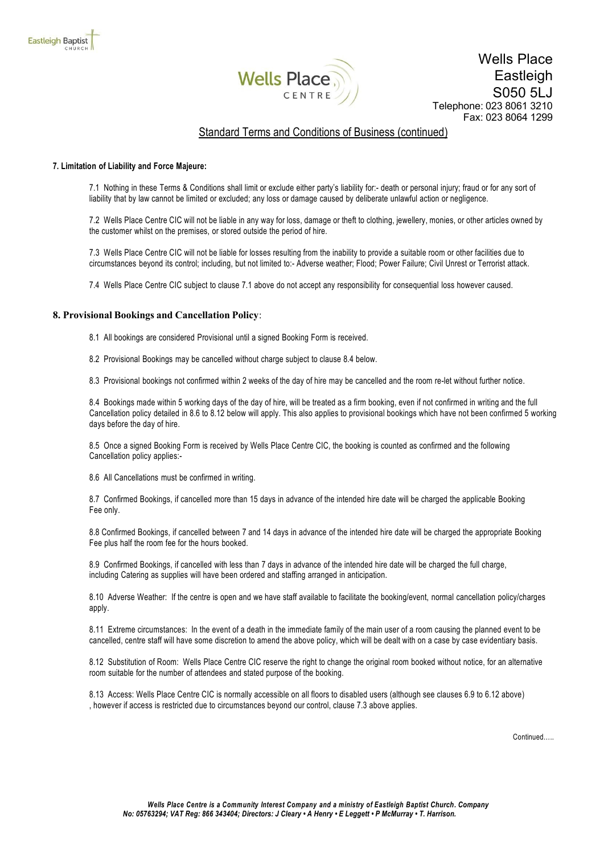

### Standard Terms and Conditions of Business (continued)

#### **7. Limitation of Liability and Force Majeure:**

7.1 Nothing in these Terms & Conditions shall limit or exclude either party's liability for:- death or personal injury; fraud or for any sort of liability that by law cannot be limited or excluded; any loss or damage caused by deliberate unlawful action or negligence.

7.2 Wells Place Centre CIC will not be liable in any way for loss, damage or theft to clothing, jewellery, monies, or other articles owned by the customer whilst on the premises, or stored outside the period of hire.

7.3 Wells Place Centre CIC will not be liable for losses resulting from the inability to provide a suitable room or other facilities due to circumstances beyond its control; including, but not limited to:- Adverse weather; Flood; Power Failure; Civil Unrest or Terrorist attack.

7.4 Wells Place Centre CIC subject to clause 7.1 above do not accept any responsibility for consequential loss however caused.

#### **8. Provisional Bookings and Cancellation Policy**:

8.1 All bookings are considered Provisional until a signed Booking Form is received.

8.2 Provisional Bookings may be cancelled without charge subject to clause 8.4 below.

8.3 Provisional bookings not confirmed within 2 weeks of the day of hire may be cancelled and the room re-let without further notice.

8.4 Bookings made within 5 working days of the day of hire, will be treated as a firm booking, even if not confirmed in writing and the full Cancellation policy detailed in 8.6 to 8.12 below will apply. This also applies to provisional bookings which have not been confirmed 5 working days before the day of hire.

8.5 Once a signed Booking Form is received by Wells Place Centre CIC, the booking is counted as confirmed and the following Cancellation policy applies:-

8.6 All Cancellations must be confirmed in writing.

8.7 Confirmed Bookings, if cancelled more than 15 days in advance of the intended hire date will be charged the applicable Booking Fee only.

8.8 Confirmed Bookings, if cancelled between 7 and 14 days in advance of the intended hire date will be charged the appropriate Booking Fee plus half the room fee for the hours booked.

8.9 Confirmed Bookings, if cancelled with less than 7 days in advance of the intended hire date will be charged the full charge, including Catering as supplies will have been ordered and staffing arranged in anticipation.

8.10 Adverse Weather: If the centre is open and we have staff available to facilitate the booking/event, normal cancellation policy/charges apply.

8.11 Extreme circumstances: In the event of a death in the immediate family of the main user of a room causing the planned event to be cancelled, centre staff will have some discretion to amend the above policy, which will be dealt with on a case by case evidentiary basis.

8.12 Substitution of Room: Wells Place Centre CIC reserve the right to change the original room booked without notice, for an alternative room suitable for the number of attendees and stated purpose of the booking.

8.13 Access: Wells Place Centre CIC is normally accessible on all floors to disabled users (although see clauses 6.9 to 6.12 above) , however if access is restricted due to circumstances beyond our control, clause 7.3 above applies.

Continued…..